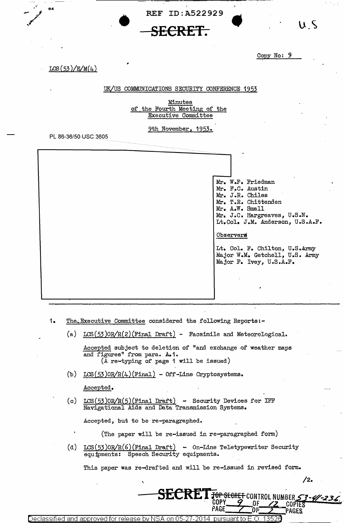REF ID:A522929



## Copy No:  $9$

 $LCS(53)/E/M(4)$ 

84

## UK/US COMMUNICATIONS SECURITY CONFERENCE 1953

Minutes of the Fourth Meeting of the **Executive Committee** 

9th November, 1953.

PL 86-36/50 USC 3605

Mr. W.F. Friedman Mr. F.C. Austin Mr. J.R. Chiles Mr. T.R. Chittenden Mr. A.W. Small Mr. J.C. Hargreaves, U.S.N. Lt.Col. J.M. Anderson, U.S.A.F.

Observers

Lt. Col. F. Chilton, U.S.Army Major W.M. Getchell, U.S. Army Major F. Ivey, U.S.A.F.

- 1. The Executive Committee considered the following Reports:-
	- (a)  $LCS(53)OR/R(2)$  (Final Draft) Facsimile and Meteorological.

Accepted subject to deletion of "and exchange of weather maps and figures" from para. A.1. (A re-typing of page 1 will be issued)

(b)  $LCS(53)OR/R(4)(Final) - Off$ -Line Cryptosystems.

Accepted.

 $LCS(53)$ OR $/R(5)$ (Final Draft) - Security Devices for IFF  $(c)$ Navigational Aids and Data Transmission Systems.

Accepted, but to be re-paragraphed.

(The paper will be re-issued in re-paragraphed form)

(d)  $LCS(53)OR/R(6)$ (Final Draft) - On-Line Teletypewriter Security equipments: Speech Security equipments.

This paper was re-drafted and will be re-issued in revised form.

**SECRET FOR SEGRET CONTROL NUMBER 53-4/-23.** 

ርበÞነ

PAGE

 $/2.$ 

coptes

PAGES